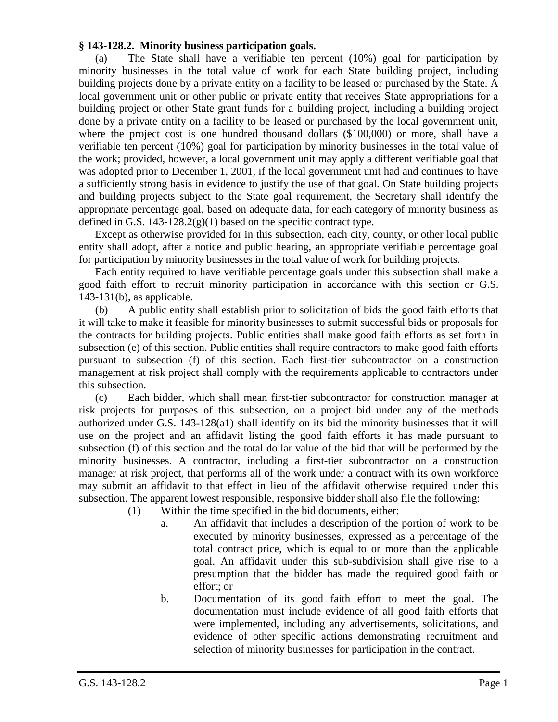## **§ 143-128.2. Minority business participation goals.**

(a) The State shall have a verifiable ten percent (10%) goal for participation by minority businesses in the total value of work for each State building project, including building projects done by a private entity on a facility to be leased or purchased by the State. A local government unit or other public or private entity that receives State appropriations for a building project or other State grant funds for a building project, including a building project done by a private entity on a facility to be leased or purchased by the local government unit, where the project cost is one hundred thousand dollars (\$100,000) or more, shall have a verifiable ten percent (10%) goal for participation by minority businesses in the total value of the work; provided, however, a local government unit may apply a different verifiable goal that was adopted prior to December 1, 2001, if the local government unit had and continues to have a sufficiently strong basis in evidence to justify the use of that goal. On State building projects and building projects subject to the State goal requirement, the Secretary shall identify the appropriate percentage goal, based on adequate data, for each category of minority business as defined in G.S. 143-128.2(g)(1) based on the specific contract type.

Except as otherwise provided for in this subsection, each city, county, or other local public entity shall adopt, after a notice and public hearing, an appropriate verifiable percentage goal for participation by minority businesses in the total value of work for building projects.

Each entity required to have verifiable percentage goals under this subsection shall make a good faith effort to recruit minority participation in accordance with this section or G.S. 143-131(b), as applicable.

(b) A public entity shall establish prior to solicitation of bids the good faith efforts that it will take to make it feasible for minority businesses to submit successful bids or proposals for the contracts for building projects. Public entities shall make good faith efforts as set forth in subsection (e) of this section. Public entities shall require contractors to make good faith efforts pursuant to subsection (f) of this section. Each first-tier subcontractor on a construction management at risk project shall comply with the requirements applicable to contractors under this subsection.

(c) Each bidder, which shall mean first-tier subcontractor for construction manager at risk projects for purposes of this subsection, on a project bid under any of the methods authorized under G.S. 143-128(a1) shall identify on its bid the minority businesses that it will use on the project and an affidavit listing the good faith efforts it has made pursuant to subsection (f) of this section and the total dollar value of the bid that will be performed by the minority businesses. A contractor, including a first-tier subcontractor on a construction manager at risk project, that performs all of the work under a contract with its own workforce may submit an affidavit to that effect in lieu of the affidavit otherwise required under this subsection. The apparent lowest responsible, responsive bidder shall also file the following:

- (1) Within the time specified in the bid documents, either:
	- a. An affidavit that includes a description of the portion of work to be executed by minority businesses, expressed as a percentage of the total contract price, which is equal to or more than the applicable goal. An affidavit under this sub-subdivision shall give rise to a presumption that the bidder has made the required good faith or effort; or
	- b. Documentation of its good faith effort to meet the goal. The documentation must include evidence of all good faith efforts that were implemented, including any advertisements, solicitations, and evidence of other specific actions demonstrating recruitment and selection of minority businesses for participation in the contract.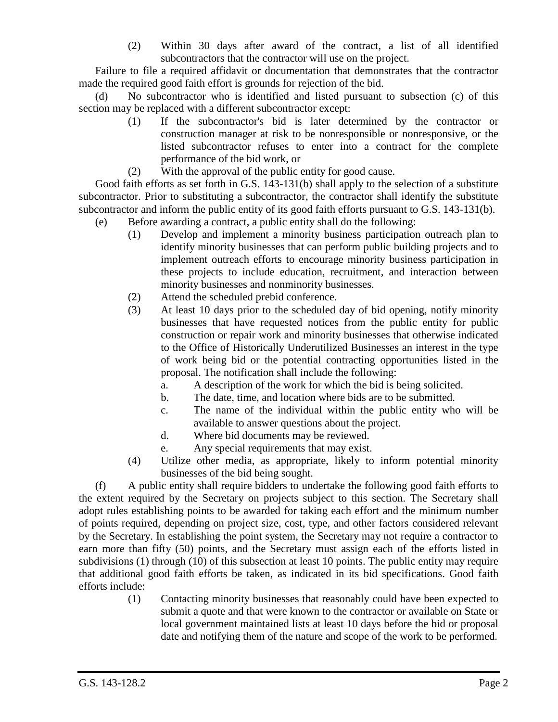(2) Within 30 days after award of the contract, a list of all identified subcontractors that the contractor will use on the project.

Failure to file a required affidavit or documentation that demonstrates that the contractor made the required good faith effort is grounds for rejection of the bid.

(d) No subcontractor who is identified and listed pursuant to subsection (c) of this section may be replaced with a different subcontractor except:

- (1) If the subcontractor's bid is later determined by the contractor or construction manager at risk to be nonresponsible or nonresponsive, or the listed subcontractor refuses to enter into a contract for the complete performance of the bid work, or
- (2) With the approval of the public entity for good cause.

Good faith efforts as set forth in G.S. 143-131(b) shall apply to the selection of a substitute subcontractor. Prior to substituting a subcontractor, the contractor shall identify the substitute subcontractor and inform the public entity of its good faith efforts pursuant to G.S. 143-131(b).

- (e) Before awarding a contract, a public entity shall do the following:
	- (1) Develop and implement a minority business participation outreach plan to identify minority businesses that can perform public building projects and to implement outreach efforts to encourage minority business participation in these projects to include education, recruitment, and interaction between minority businesses and nonminority businesses.
	- (2) Attend the scheduled prebid conference.
	- (3) At least 10 days prior to the scheduled day of bid opening, notify minority businesses that have requested notices from the public entity for public construction or repair work and minority businesses that otherwise indicated to the Office of Historically Underutilized Businesses an interest in the type of work being bid or the potential contracting opportunities listed in the proposal. The notification shall include the following:
		- a. A description of the work for which the bid is being solicited.
		- b. The date, time, and location where bids are to be submitted.
		- c. The name of the individual within the public entity who will be available to answer questions about the project.
		- d. Where bid documents may be reviewed.
		- e. Any special requirements that may exist.
	- (4) Utilize other media, as appropriate, likely to inform potential minority businesses of the bid being sought.

(f) A public entity shall require bidders to undertake the following good faith efforts to the extent required by the Secretary on projects subject to this section. The Secretary shall adopt rules establishing points to be awarded for taking each effort and the minimum number of points required, depending on project size, cost, type, and other factors considered relevant by the Secretary. In establishing the point system, the Secretary may not require a contractor to earn more than fifty (50) points, and the Secretary must assign each of the efforts listed in subdivisions (1) through (10) of this subsection at least 10 points. The public entity may require that additional good faith efforts be taken, as indicated in its bid specifications. Good faith efforts include:

(1) Contacting minority businesses that reasonably could have been expected to submit a quote and that were known to the contractor or available on State or local government maintained lists at least 10 days before the bid or proposal date and notifying them of the nature and scope of the work to be performed.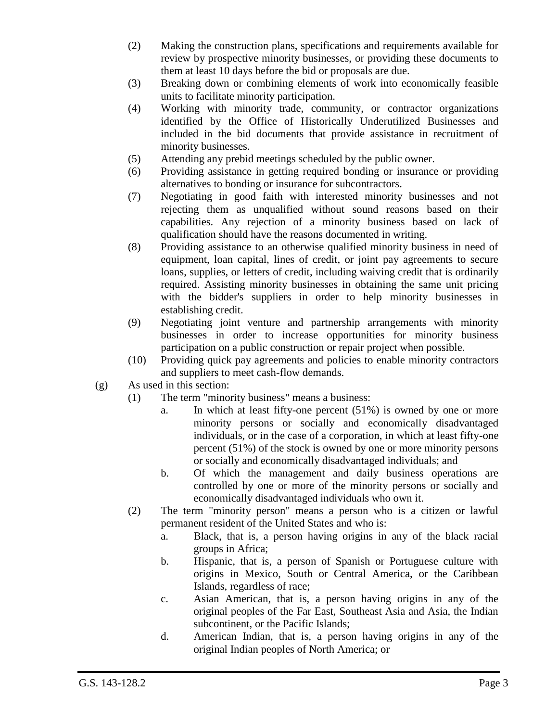- (2) Making the construction plans, specifications and requirements available for review by prospective minority businesses, or providing these documents to them at least 10 days before the bid or proposals are due.
- (3) Breaking down or combining elements of work into economically feasible units to facilitate minority participation.
- (4) Working with minority trade, community, or contractor organizations identified by the Office of Historically Underutilized Businesses and included in the bid documents that provide assistance in recruitment of minority businesses.
- (5) Attending any prebid meetings scheduled by the public owner.
- (6) Providing assistance in getting required bonding or insurance or providing alternatives to bonding or insurance for subcontractors.
- (7) Negotiating in good faith with interested minority businesses and not rejecting them as unqualified without sound reasons based on their capabilities. Any rejection of a minority business based on lack of qualification should have the reasons documented in writing.
- (8) Providing assistance to an otherwise qualified minority business in need of equipment, loan capital, lines of credit, or joint pay agreements to secure loans, supplies, or letters of credit, including waiving credit that is ordinarily required. Assisting minority businesses in obtaining the same unit pricing with the bidder's suppliers in order to help minority businesses in establishing credit.
- (9) Negotiating joint venture and partnership arrangements with minority businesses in order to increase opportunities for minority business participation on a public construction or repair project when possible.
- (10) Providing quick pay agreements and policies to enable minority contractors and suppliers to meet cash-flow demands.
- (g) As used in this section:
	- (1) The term "minority business" means a business:
		- a. In which at least fifty-one percent (51%) is owned by one or more minority persons or socially and economically disadvantaged individuals, or in the case of a corporation, in which at least fifty-one percent (51%) of the stock is owned by one or more minority persons or socially and economically disadvantaged individuals; and
		- b. Of which the management and daily business operations are controlled by one or more of the minority persons or socially and economically disadvantaged individuals who own it.
	- (2) The term "minority person" means a person who is a citizen or lawful permanent resident of the United States and who is:
		- a. Black, that is, a person having origins in any of the black racial groups in Africa;
		- b. Hispanic, that is, a person of Spanish or Portuguese culture with origins in Mexico, South or Central America, or the Caribbean Islands, regardless of race;
		- c. Asian American, that is, a person having origins in any of the original peoples of the Far East, Southeast Asia and Asia, the Indian subcontinent, or the Pacific Islands;
		- d. American Indian, that is, a person having origins in any of the original Indian peoples of North America; or